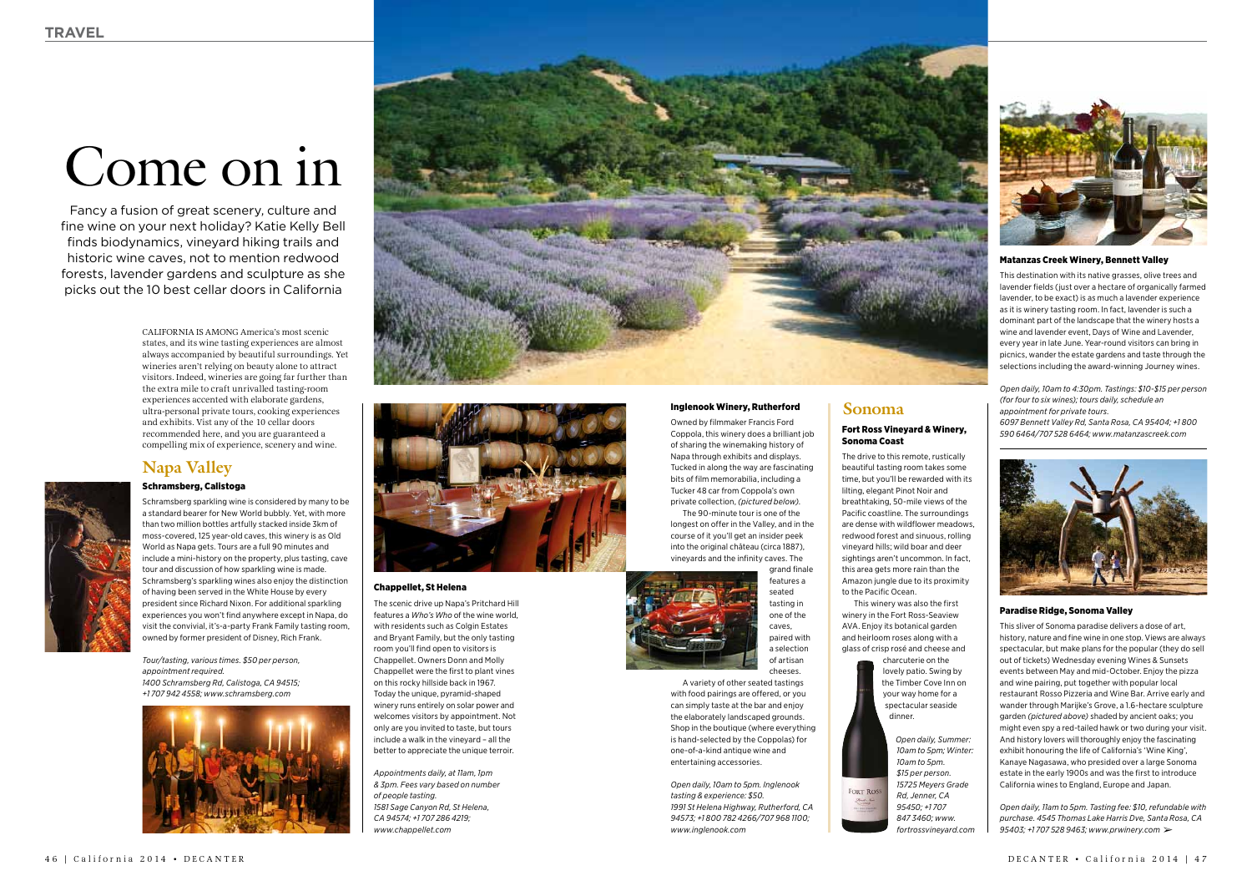#### Fort Ross Vineyard & Winery, Sonoma Coast

The drive to this remote, rustically beautiful tasting room takes some time, but you'll be rewarded with its lilting, elegant Pinot Noir and breathtaking, 50-mile views of the Pacific coastline. The surroundings are dense with wildflower meadows, redwood forest and sinuous, rolling vineyard hills; wild boar and deer sightings aren't uncommon. In fact, this area gets more rain than the Amazon jungle due to its proximity to the Pacific Ocean. This winery was also the first

winery in the Fort Ross-Seaview AVA. Enjoy its botanical garden and heirloom roses along with a glass of crisp rosé and cheese and charcuterie on the

lovely patio. Swing by the Timber Cove Inn on your way home for a spectacular seaside dinner.

> *Open daily, Summer: 10am to 5pm; Winter: 10am to 5pm. \$15 per person. 15725 Meyers Grade Rd, Jenner, CA 95450; +1 707 847 3460; www. fortrossvineyard.com*

FORT RO



# Come on in

Fancy a fusion of great scenery, culture and fine wine on your next holiday? Katie Kelly Bell finds biodynamics, vineyard hiking trails and historic wine caves, not to mention redwood forests, lavender gardens and sculpture as she picks out the 10 best cellar doors in California

#### Inglenook Winery, Rutherford

Owned by filmmaker Francis Ford Coppola, this winery does a brilliant job of sharing the winemaking history of Napa through exhibits and displays. Tucked in along the way are fascinating bits of film memorabilia, including a Tucker 48 car from Coppola's own private collection, *(pictured below)*.

The 90-minute tour is one of the longest on offer in the Valley, and in the course of it you'll get an insider peek into the original château (circa 1887), vineyards and the infinity caves. The



A variety of other seated tastings with food pairings are offered, or you can simply taste at the bar and enjoy the elaborately landscaped grounds. Shop in the boutique (where everything is hand-selected by the Coppolas) for one-of-a-kind antique wine and entertaining accessories.

*Open daily, 10am to 5pm. Inglenook tasting & experience: \$50. 1991 St Helena Highway, Rutherford, CA 94573; +1 800 782 4266/707 968 1100; www.inglenook.com* 

## **Sonoma**

### Matanzas Creek Winery, Bennett Valley

This destination with its native grasses, olive trees and lavender fields (just over a hectare of organically farmed lavender, to be exact) is as much a lavender experience as it is winery tasting room. In fact, lavender is such a dominant part of the landscape that the winery hosts a wine and lavender event, Days of Wine and Lavender, every year in late June. Year-round visitors can bring in picnics, wander the estate gardens and taste through the selections including the award-winning Journey wines.

*Open daily, 10am to 4:30pm. Tastings: \$10-\$15 per person (for four to six wines); tours daily, schedule an appointment for private tours. 6097 Bennett Valley Rd, Santa Rosa, CA 95404; +1 800 590 6464/707 528 6464; www.matanzascreek.com*



california is AMONG America's most scenic states, and its wine tasting experiences are almost always accompanied by beautiful surroundings. Yet wineries aren't relying on beauty alone to attract visitors. Indeed, wineries are going far further than the extra mile to craft unrivalled tasting-room experiences accented with elaborate gardens, ultra-personal private tours, cooking experiences and exhibits. Vist any of the 10 cellar doors recommended here, and you are guaranteed a compelling mix of experience, scenery and wine.

#### Paradise Ridge, Sonoma Valley

This sliver of Sonoma paradise delivers a dose of art, history, nature and fine wine in one stop. Views are always spectacular, but make plans for the popular (they do sell out of tickets) Wednesday evening Wines & Sunsets events between May and mid-October. Enjoy the pizza and wine pairing, put together with popular local restaurant Rosso Pizzeria and Wine Bar. Arrive early and wander through Marijke's Grove, a 1.6-hectare sculpture garden *(pictured above)* shaded by ancient oaks; you might even spy a red-tailed hawk or two during your visit. And history lovers will thoroughly enjoy the fascinating exhibit honouring the life of California's 'Wine King', Kanaye Nagasawa, who presided over a large Sonoma estate in the early 1900s and was the first to introduce California wines to England, Europe and Japan.

#### Chappellet, St Helena

The scenic drive up Napa's Pritchard Hill features a *Who's Who* of the wine world, with residents such as Colgin Estates and Bryant Family, but the only tasting room you'll find open to visitors is Chappellet. Owners Donn and Molly Chappellet were the first to plant vines on this rocky hillside back in 1967. Today the unique, pyramid-shaped winery runs entirely on solar power and welcomes visitors by appointment. Not only are you invited to taste, but tours include a walk in the vineyard – all the better to appreciate the unique terroir.

*Appointments daily, at 11am, 1pm & 3pm. Fees vary based on number of people tasting. 1581 Sage Canyon Rd, St Helena, CA 94574; +1 707 286 4219; www.chappellet.com* 

*Open daily, 11am to 5pm. Tasting fee: \$10, refundable with purchase. 4545 Thomas Lake Harris Dve, Santa Rosa, CA 95403; +1 707 528 9463; www.prwinery.com*  ➢

## Schramsberg, Calistoga

Schramsberg sparkling wine is considered by many to be a standard bearer for New World bubbly. Yet, with more than two million bottles artfully stacked inside 3km of moss-covered, 125 year-old caves, this winery is as Old World as Napa gets. Tours are a full 90 minutes and include a mini-history on the property, plus tasting, cave tour and discussion of how sparkling wine is made. Schramsberg's sparkling wines also enjoy the distinction of having been served in the White House by every president since Richard Nixon. For additional sparkling experiences you won't find anywhere except in Napa, do visit the convivial, it's-a-party Frank Family tasting room, owned by former president of Disney, Rich Frank.

*Tour/tasting, various times. \$50 per person, appointment required. 1400 Schramsberg Rd, Calistoga, CA 94515; +1 707 942 4558; www.schramsberg.com* 







# **Napa Valley**